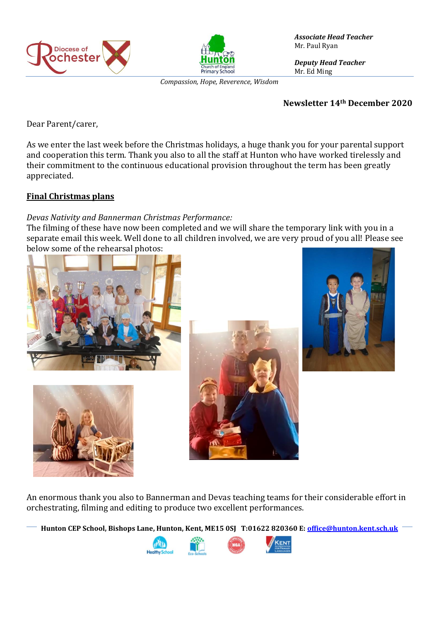



*Compassion, Hope, Reverence, Wisdom*

*Associate Head Teacher* Mr. Paul Ryan

*Deputy Head Teacher* Mr. Ed Ming

#### **Newsletter 14th December 2020**

Dear Parent/carer,

As we enter the last week before the Christmas holidays, a huge thank you for your parental support and cooperation this term. Thank you also to all the staff at Hunton who have worked tirelessly and their commitment to the continuous educational provision throughout the term has been greatly appreciated.

### **Final Christmas plans**

### *Devas Nativity and Bannerman Christmas Performance:*

The filming of these have now been completed and we will share the temporary link with you in a separate email this week. Well done to all children involved, we are very proud of you all! Please see below some of the rehearsal photos:









An enormous thank you also to Bannerman and Devas teaching teams for their considerable effort in orchestrating, filming and editing to produce two excellent performances.

**Hunton CEP School, Bishops Lane, Hunton, Kent, ME15 0SJ T:01622 820360 E[: office@hunton.kent.sch.uk](mailto:office@hunton.kent.sch.uk)**

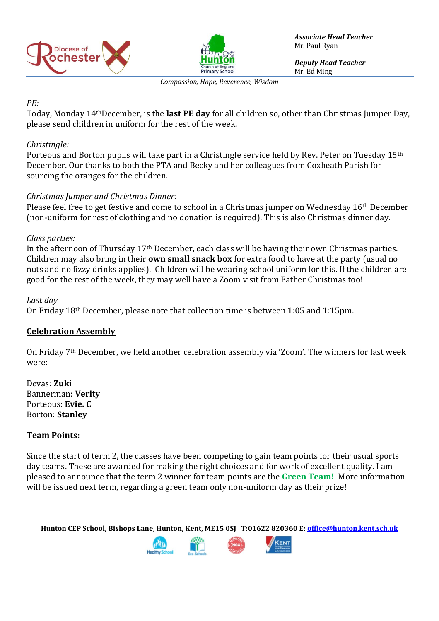



*Associate Head Teacher* Mr. Paul Ryan

*Deputy Head Teacher* Mr. Ed Ming

*Compassion, Hope, Reverence, Wisdom*

## *PE:*

Today, Monday 14thDecember, is the **last PE day** for all children so, other than Christmas Jumper Day, please send children in uniform for the rest of the week.

# *Christingle:*

Porteous and Borton pupils will take part in a Christingle service held by Rev. Peter on Tuesday 15<sup>th</sup> December. Our thanks to both the PTA and Becky and her colleagues from Coxheath Parish for sourcing the oranges for the children.

# *Christmas Jumper and Christmas Dinner:*

Please feel free to get festive and come to school in a Christmas jumper on Wednesday 16th December (non-uniform for rest of clothing and no donation is required). This is also Christmas dinner day.

### *Class parties:*

In the afternoon of Thursday 17th December, each class will be having their own Christmas parties. Children may also bring in their **own small snack box** for extra food to have at the party (usual no nuts and no fizzy drinks applies). Children will be wearing school uniform for this. If the children are good for the rest of the week, they may well have a Zoom visit from Father Christmas too!

*Last day* On Friday 18th December, please note that collection time is between 1:05 and 1:15pm.

### **Celebration Assembly**

On Friday 7th December, we held another celebration assembly via 'Zoom'. The winners for last week were:

Devas: **Zuki** Bannerman: **Verity** Porteous: **Evie. C** Borton: **Stanley**

# **Team Points:**

Since the start of term 2, the classes have been competing to gain team points for their usual sports day teams. These are awarded for making the right choices and for work of excellent quality. I am pleased to announce that the term 2 winner for team points are the **Green Team!** More information will be issued next term, regarding a green team only non-uniform day as their prize!

**Hunton CEP School, Bishops Lane, Hunton, Kent, ME15 0SJ T:01622 820360 E[: office@hunton.kent.sch.uk](mailto:office@hunton.kent.sch.uk)**